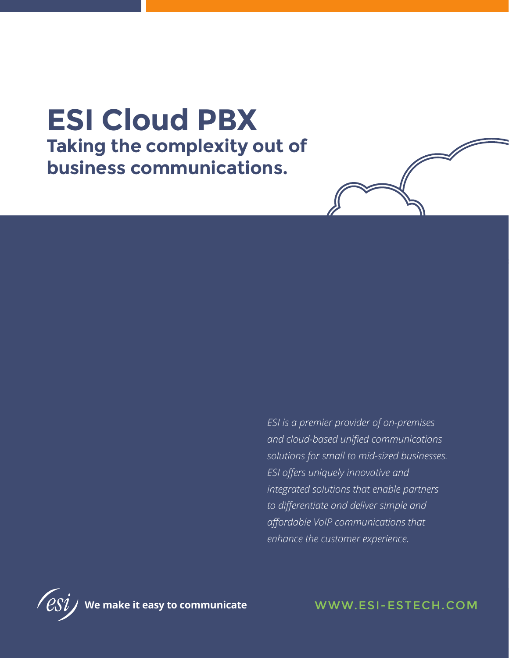# **ESI Cloud PBX Taking the complexity out of business communications.**

*ESI is a premier provider of on-premises and cloud-based unified communications solutions for small to mid-sized businesses. ESI offers uniquely innovative and integrated solutions that enable partners to differentiate and deliver simple and affordable VoIP communications that enhance the customer experience.*

WWW.ESI-ESTECH.COM

**We make it easy to communicate**

WWW.ESI-ESTECH.COM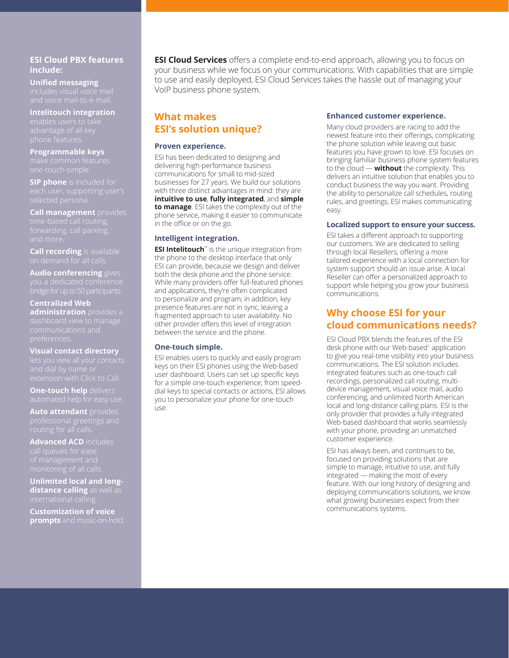### **ESI Cloud PBX features include:**

**Unified messaging**

# **Intelitouch integration**

**Programmable keys**

**SIP phone** is included for

**Call management** provides and more.

**Call recording** is available

**Audio conferencing** gives

## **Centralized Web administration** provides a

# **Visual contact directory**

**One-touch help** delivers

**Auto attendant** provides

**Advanced ACD** includes

**Unlimited local and longdistance calling** as well as

**Customization of voice prompts** and music-on-hold. **ESI Cloud Services** offers a complete end-to-end approach, allowing you to focus on your business while we focus on your communications. With capabilities that are simple to use and easily deployed, ESI Cloud Services takes the hassle out of managing your VoIP business phone system.

## **What makes ESI's solution unique?**

#### **Proven experience.**

ESI has been dedicated to designing and delivering high-performance business communications for small to mid-sized businesses for 27 years. We build our solutions with three distinct advantages in mind: they are **intuitive to use**, **fully integrated**, and **simple to manage**. ESI takes the complexity out of the phone service, making it easier to communicate in the office or on the go.

#### **Intelligent integration.**

**ESI Intelitouch**™ is the unique integration from the phone to the desktop interface that only ESI can provide, because we design and deliver both the desk phone and the phone service. While many providers offer full-featured phones and applications, they're often complicated to personalize and program; in addition, key presence features are not in sync, leaving a fragmented approach to user availability. No other provider offers this level of integration between the service and the phone.

#### **One-touch simple.**

ESI enables users to quickly and easily program keys on their ESI phones using the Web-based user dashboard. Users can set up specific keys for a simple one-touch experience; from speeddial keys to special contacts or actions, ESI allows you to personalize your phone for one-touch use.

#### **Enhanced customer experience.**

Many cloud providers are racing to add the newest feature into their offerings, complicating the phone solution while leaving out basic features you have grown to love. ESI focuses on bringing familiar business phone system features to the cloud — **without** the complexity. This delivers an intuitive solution that enables you to conduct business the way you want. Providing the ability to personalize call schedules, routing rules, and greetings, ESI makes communicating easy.

#### **Localized support to ensure your success.**

ESI takes a different approach to supporting our customers. We are dedicated to selling through local Resellers, offering a more tailored experience with a local connection for system support should an issue arise. A local Reseller can offer a personalized approach to support while helping you grow your business communications.

# **Why choose ESI for your cloud communications needs?**

ESI Cloud PBX blends the features of the ESI desk phone with our Web-based<sup>1</sup> application to give you real-time visibility into your business communications. The ESI solution includes integrated features such as one-touch call recordings, personalized call routing, multidevice management, visual voice mail, audio conferencing, and unlimited North American local and long-distance calling plans. ESI is the only provider that provides a fully integrated Web-based dashboard that works seamlessly with your phone, providing an unmatched customer experience.

ESI has always been, and continues to be, focused on providing solutions that are simple to manage, intuitive to use, and fully integrated — making the most of every feature. With our long history of designing and deploying communications solutions, we know what growing businesses expect from their communications systems.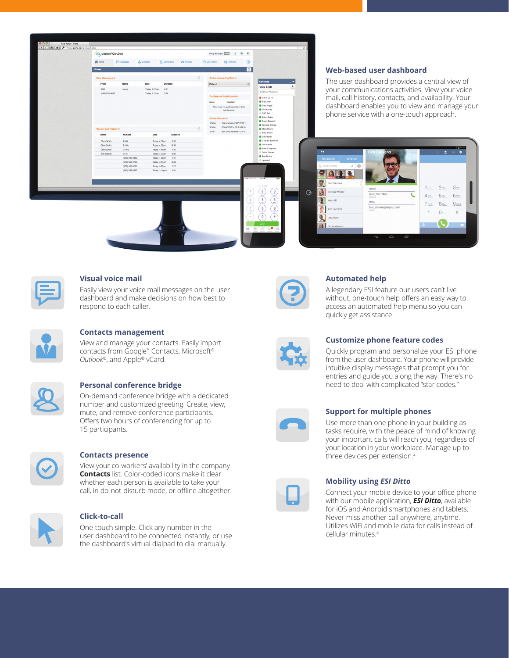



#### **Visual voice mail**

Easily view your voice mail messages on the user dashboard and make decisions on how best to respond to each caller.



#### **Contacts management**

View and manage your contacts. Easily import contacts from Google™ Contacts, Microsoft® *Outlook*®, and Apple® vCard.

#### **Personal conference bridge**

On-demand conference bridge with a dedicated number and customized greeting. Create, view, mute, and remove conference participants. Offers two hours of conferencing for up to 15 participants.



#### **Contacts presence**

View your co-workers' availability in the company **Contacts** list. Color-coded icons make it clear whether each person is available to take your call, in do-not-disturb mode, or offline altogether.



#### **Click-to-call**

One-touch simple. Click any number in the user dashboard to be connected instantly, or use the dashboard's virtual dialpad to dial manually.



#### **Automated help**

A legendary ESI feature our users can't live without, one-touch help offers an easy way to access an automated help menu so you can quickly get assistance.



#### **Customize phone feature codes**

Quickly program and personalize your ESI phone from the user dashboard. Your phone will provide intuitive display messages that prompt you for entries and guide you along the way. There's no need to deal with complicated "star codes."



#### **Support for multiple phones**

Use more than one phone in your building as tasks require, with the peace of mind of knowing your important calls will reach you, regardless of your location in your workplace. Manage up to three devices per extension.<sup>2</sup>



#### **Mobility using** *ESI Ditto*

Connect your mobile device to your office phone with our mobile application, *ESI Ditto*, available for iOS and Android smartphones and tablets. Never miss another call anywhere, anytime. Utilizes WiFi and mobile data for calls instead of cellular minutes.3